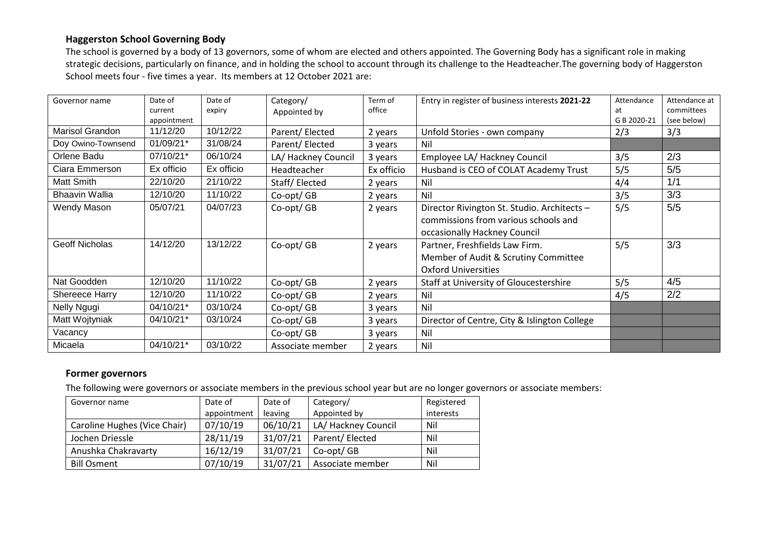## **Haggerston School Governing Body**

The school is governed by a body of 13 governors, some of whom are elected and others appointed. The Governing Body has a significant role in making strategic decisions, particularly on finance, and in holding the school to account through its challenge to the Headteacher.The governing body of Haggerston School meets four - five times a year. Its members at 12 October 2021 are:

| Governor name         | Date of<br>current | Date of<br>expiry | Category/<br>Appointed by | Term of<br>office | Entry in register of business interests 2021-22                                                                     | Attendance<br>at | Attendance at<br>committees |
|-----------------------|--------------------|-------------------|---------------------------|-------------------|---------------------------------------------------------------------------------------------------------------------|------------------|-----------------------------|
|                       | appointment        |                   |                           |                   |                                                                                                                     | G B 2020-21      | (see below)                 |
| Marisol Grandon       | 11/12/20           | 10/12/22          | Parent/ Elected           | 2 years           | Unfold Stories - own company                                                                                        | 2/3              | 3/3                         |
| Doy Owino-Townsend    | 01/09/21*          | 31/08/24          | Parent/Elected            | 3 years           | Nil                                                                                                                 |                  |                             |
| Orlene Badu           | 07/10/21*          | 06/10/24          | LA/ Hackney Council       | 3 years           | Employee LA/ Hackney Council                                                                                        | 3/5              | 2/3                         |
| Ciara Emmerson        | Ex officio         | Ex officio        | Headteacher               | Ex officio        | Husband is CEO of COLAT Academy Trust                                                                               | 5/5              | 5/5                         |
| Matt Smith            | 22/10/20           | 21/10/22          | Staff/Elected             | 2 years           | Nil                                                                                                                 | 4/4              | 1/1                         |
| <b>Bhaavin Wallia</b> | 12/10/20           | 11/10/22          | Co-opt/GB                 | 2 years           | Nil                                                                                                                 | 3/5              | 3/3                         |
| Wendy Mason           | 05/07/21           | 04/07/23          | Co-opt/GB                 | 2 years           | Director Rivington St. Studio. Architects -<br>commissions from various schools and<br>occasionally Hackney Council | 5/5              | 5/5                         |
| <b>Geoff Nicholas</b> | 14/12/20           | 13/12/22          | Co-opt/GB                 | 2 years           | Partner, Freshfields Law Firm.<br>Member of Audit & Scrutiny Committee<br><b>Oxford Universities</b>                | 5/5              | 3/3                         |
| Nat Goodden           | 12/10/20           | 11/10/22          | Co-opt/GB                 | 2 years           | Staff at University of Gloucestershire                                                                              | 5/5              | 4/5                         |
| Shereece Harry        | 12/10/20           | 11/10/22          | Co-opt/GB                 | 2 years           | Nil                                                                                                                 | 4/5              | 2/2                         |
| Nelly Ngugi           | 04/10/21*          | 03/10/24          | Co-opt/GB                 | 3 years           | Nil                                                                                                                 |                  |                             |
| Matt Wojtyniak        | 04/10/21*          | 03/10/24          | Co-opt/GB                 | 3 years           | Director of Centre, City & Islington College                                                                        |                  |                             |
| Vacancy               |                    |                   | Co-opt/GB                 | 3 years           | Nil                                                                                                                 |                  |                             |
| Micaela               | 04/10/21*          | 03/10/22          | Associate member          | 2 years           | Nil                                                                                                                 |                  |                             |

## **Former governors**

The following were governors or associate members in the previous school year but are no longer governors or associate members:

| Governor name                | Date of     | Date of  | Category/           | Registered |
|------------------------------|-------------|----------|---------------------|------------|
|                              | appointment | leaving  | Appointed by        | interests  |
| Caroline Hughes (Vice Chair) | 07/10/19    | 06/10/21 | LA/ Hackney Council | Nil        |
| Jochen Driessle              | 28/11/19    | 31/07/21 | Parent/Elected      | Nil        |
| Anushka Chakravarty          | 16/12/19    | 31/07/21 | Co-opt/ GB          | Nil        |
| <b>Bill Osment</b>           | 07/10/19    | 31/07/21 | Associate member    | Nil        |